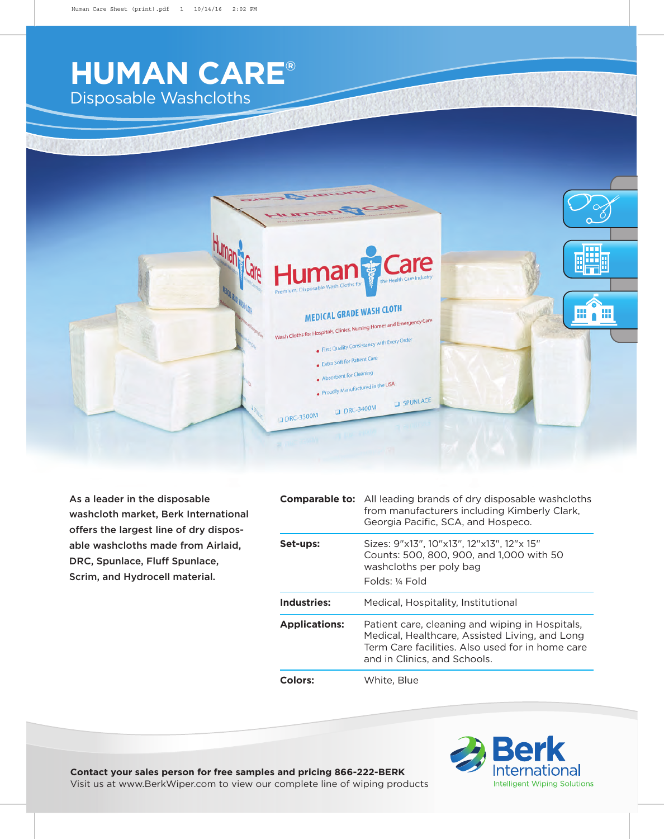## **HUMAN CARE®** Disposable Washcloths



As a leader in the disposable washcloth market, Berk International offers the largest line of dry disposable washcloths made from Airlaid, DRC, Spunlace, Fluff Spunlace, Scrim, and Hydrocell material.

|                      | <b>Comparable to:</b> All leading brands of dry disposable washcloths<br>from manufacturers including Kimberly Clark,<br>Georgia Pacific, SCA, and Hospeco.                           |
|----------------------|---------------------------------------------------------------------------------------------------------------------------------------------------------------------------------------|
| Set-ups:             | Sizes: 9"x13", 10"x13", 12"x13", 12"x 15"<br>Counts: 500, 800, 900, and 1,000 with 50<br>washcloths per poly bag<br>Folds: ¼ Fold                                                     |
| Industries:          | Medical, Hospitality, Institutional                                                                                                                                                   |
| <b>Applications:</b> | Patient care, cleaning and wiping in Hospitals,<br>Medical, Healthcare, Assisted Living, and Long<br>Term Care facilities. Also used for in home care<br>and in Clinics, and Schools. |
| <b>Colors:</b>       | White, Blue                                                                                                                                                                           |



**Contact your sales person for free samples and pricing 866-222-BERK**

Visit us at www.BerkWiper.com to view our complete line of wiping products